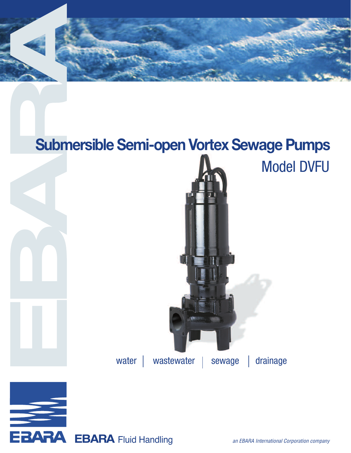

## **Submersible Semi-open Vortex Sewage Pumps**



**EBARA** 

EBARA Fluid Handling and EBARA International Corporation company